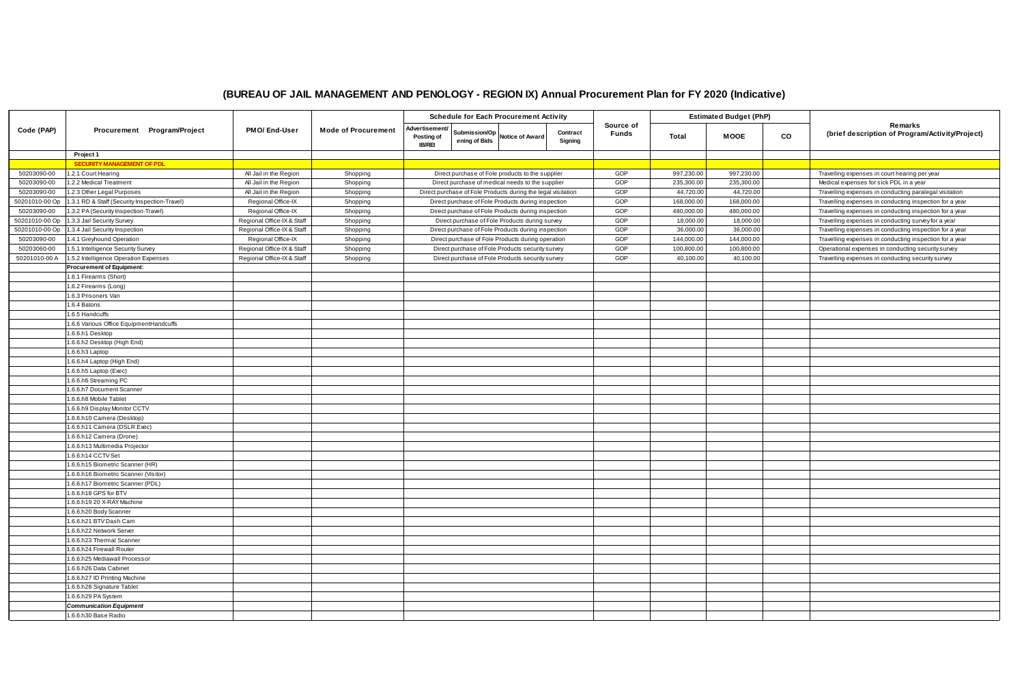|                |                                                            |                            |                            | <b>Schedule for Each Procurement Activity</b> |                                                              |  |                     |                           |              | <b>Estimated Budget (PhP)</b> |    |                                                            |
|----------------|------------------------------------------------------------|----------------------------|----------------------------|-----------------------------------------------|--------------------------------------------------------------|--|---------------------|---------------------------|--------------|-------------------------------|----|------------------------------------------------------------|
| Code (PAP)     | Procurement Program/Project                                | <b>PMO/End-User</b>        | <b>Mode of Procurement</b> | Advertisement/<br>Posting of<br><b>IB/REI</b> | Submission/Op Notice of Award<br>ening of Bids               |  | Contract<br>Signing | Source of<br><b>Funds</b> | <b>Total</b> | <b>MOOE</b>                   | CO | Remarks<br>(brief description of Program/Activity/Project) |
|                | Project 1                                                  |                            |                            |                                               |                                                              |  |                     |                           |              |                               |    |                                                            |
|                | <b>SECURITY MANAGEMENT OF PDL</b>                          |                            |                            |                                               |                                                              |  |                     |                           |              |                               |    |                                                            |
| 50203090-00    | 1.2.1 Court Hearing                                        | All Jail in the Region     | Shopping                   |                                               | Direct purchase of Fole products to the supplier             |  |                     | GOP                       | 997,230.00   | 997,230.00                    |    | Travelling expenses in court hearing per year              |
| 50203090-00    | 1.2.2 Medical Treatment                                    | All Jail in the Region     | Shopping                   |                                               | Direct purchase of medical needs to the supplier             |  |                     | GOP                       | 235,300.00   | 235,300.00                    |    | Medical expenses for sick PDL in a year                    |
| 50203090-00    | 1.2.3 Other Legal Purposes                                 | All Jail in the Region     | Shopping                   |                                               | Direct purchase of Fole Products during the legal visitation |  |                     | GOP                       | 44,720.00    | 44,720.00                     |    | Travelling expenses in conducting paralegal visitation     |
| 50201010-00 Op | 1.3.1 RD & Staff (Security Inspection-Travel)              | Regional Office-IX         | Shopping                   |                                               | Direct purchase of Fole Products during inspection           |  |                     | GOP                       | 168,000.00   | 168,000.00                    |    | Travelling expenses in conducting inspection for a year    |
| 50203090-00    | 1.3.2 PA (Security Inspection-Travel)                      | Regional Office-IX         | Shopping                   |                                               | Direct purchase of Fole Products during inspection           |  |                     | GOP                       | 480,000.00   | 480,000.00                    |    | Travelling expenses in conducting inspection for a year    |
| 50201010-00 Op | 1.3.3 Jail Security Survey                                 | Regional Office-IX & Staff | Shopping                   |                                               | Direct purchase of Fole Products during survey               |  |                     | GOP                       | 18,000.00    | 18,000.00                     |    | Travelling expenses in conducting survey for a year        |
| 50201010-00 Op | 1.3.4 Jail Security Inspection                             | Regional Office-IX & Staff | Shopping                   |                                               | Direct purchase of Fole Products during inspection           |  |                     | GOP                       | 36,000.00    | 36,000.00                     |    | Travelling expenses in conducting inspection for a year    |
| 50203090-00    | 1.4.1 Greyhound Operation                                  | Regional Office-IX         | Shopping                   |                                               | Direct purchase of Fole Products during operation            |  |                     | GOP                       | 144,000.00   | 144,000.00                    |    | Travelling expenses in conducting inspection for a year    |
| 50203060-00    | 1.5.1 Intelligence Security Survey                         | Regional Office-IX & Staff | Shopping                   |                                               | Direct purchase of Fole Products security survey             |  |                     | GOP                       | 100,800.00   | 100,800.00                    |    | Operational expenses in conducting security survey         |
| 50201010-00 A  | 1.5.2 Intelligence Operation Expenses                      | Regional Office-IX & Staff | Shopping                   |                                               | Direct purchase of Fole Products security survey             |  |                     | GOP                       | 40,100.00    | 40,100.00                     |    | Travelling expenses in conducting security survey          |
|                | <b>Procurement of Equipment:</b>                           |                            |                            |                                               |                                                              |  |                     |                           |              |                               |    |                                                            |
|                | 1.6.1 Firearms (Short)                                     |                            |                            |                                               |                                                              |  |                     |                           |              |                               |    |                                                            |
|                | 1.6.2 Firearms (Long)                                      |                            |                            |                                               |                                                              |  |                     |                           |              |                               |    |                                                            |
|                | 1.6.3 Prisoners Van                                        |                            |                            |                                               |                                                              |  |                     |                           |              |                               |    |                                                            |
|                | 1.6.4 Batons                                               |                            |                            |                                               |                                                              |  |                     |                           |              |                               |    |                                                            |
|                | 1.6.5 Handcuffs                                            |                            |                            |                                               |                                                              |  |                     |                           |              |                               |    |                                                            |
|                | 1.6.6 Various Office EquipmentHandcuffs                    |                            |                            |                                               |                                                              |  |                     |                           |              |                               |    |                                                            |
|                | 1.6.6.h1 Desktop                                           |                            |                            |                                               |                                                              |  |                     |                           |              |                               |    |                                                            |
|                | 1.6.6.h2 Desktop (High End)                                |                            |                            |                                               |                                                              |  |                     |                           |              |                               |    |                                                            |
|                | 1.6.6.h3 Laptop                                            |                            |                            |                                               |                                                              |  |                     |                           |              |                               |    |                                                            |
|                | 1.6.6.h4 Laptop (High End)                                 |                            |                            |                                               |                                                              |  |                     |                           |              |                               |    |                                                            |
|                | $1.6.6$ .h5 Laptop (Exec)                                  |                            |                            |                                               |                                                              |  |                     |                           |              |                               |    |                                                            |
|                | 1.6.6.h6 Streaming PC                                      |                            |                            |                                               |                                                              |  |                     |                           |              |                               |    |                                                            |
|                | 1.6.6.h7 Document Scanner                                  |                            |                            |                                               |                                                              |  |                     |                           |              |                               |    |                                                            |
|                | 1.6.6.h8 Mobile Tablet                                     |                            |                            |                                               |                                                              |  |                     |                           |              |                               |    |                                                            |
|                | 1.6.6.h9 Display Monitor CCTV                              |                            |                            |                                               |                                                              |  |                     |                           |              |                               |    |                                                            |
|                | 1.6.6.h10 Camera (Desktop)<br>1.6.6.h11 Camera (DSLR Exec) |                            |                            |                                               |                                                              |  |                     |                           |              |                               |    |                                                            |
|                | 1.6.6.h12 Camera (Drone)                                   |                            |                            |                                               |                                                              |  |                     |                           |              |                               |    |                                                            |
|                | 1.6.6.h13 Multimedia Projector                             |                            |                            |                                               |                                                              |  |                     |                           |              |                               |    |                                                            |
|                | 1.6.6.h14 CCTV Set                                         |                            |                            |                                               |                                                              |  |                     |                           |              |                               |    |                                                            |
|                | 1.6.6.h15 Biometric Scanner (HR)                           |                            |                            |                                               |                                                              |  |                     |                           |              |                               |    |                                                            |
|                | 1.6.6.h16 Biometric Scanner (Visitor)                      |                            |                            |                                               |                                                              |  |                     |                           |              |                               |    |                                                            |
|                | 1.6.6.h17 Biometric Scanner (PDL)                          |                            |                            |                                               |                                                              |  |                     |                           |              |                               |    |                                                            |
|                | 1.6.6.h18 GPS for BTV                                      |                            |                            |                                               |                                                              |  |                     |                           |              |                               |    |                                                            |
|                | 1.6.6.h19 20 X-RAY Machine                                 |                            |                            |                                               |                                                              |  |                     |                           |              |                               |    |                                                            |
|                | 1.6.6.h20 Body Scanner                                     |                            |                            |                                               |                                                              |  |                     |                           |              |                               |    |                                                            |
|                | 1.6.6.h21 BTV Dash Cam                                     |                            |                            |                                               |                                                              |  |                     |                           |              |                               |    |                                                            |
|                | 1.6.6.h22 Network Server                                   |                            |                            |                                               |                                                              |  |                     |                           |              |                               |    |                                                            |
|                | 1.6.6.h23 Thermal Scanner                                  |                            |                            |                                               |                                                              |  |                     |                           |              |                               |    |                                                            |
|                | 1.6.6.h24 Firewall Router                                  |                            |                            |                                               |                                                              |  |                     |                           |              |                               |    |                                                            |
|                | 1.6.6.h25 Mediawall Processor                              |                            |                            |                                               |                                                              |  |                     |                           |              |                               |    |                                                            |
|                | 1.6.6.h26 Data Cabinet                                     |                            |                            |                                               |                                                              |  |                     |                           |              |                               |    |                                                            |
|                | 1.6.6.h27 ID Printing Machine                              |                            |                            |                                               |                                                              |  |                     |                           |              |                               |    |                                                            |
|                | 1.6.6.h28 Signature Tablet                                 |                            |                            |                                               |                                                              |  |                     |                           |              |                               |    |                                                            |
|                | 1.6.6.h29 PA System                                        |                            |                            |                                               |                                                              |  |                     |                           |              |                               |    |                                                            |
|                | <b>Communication Equipment</b>                             |                            |                            |                                               |                                                              |  |                     |                           |              |                               |    |                                                            |
|                | 1.6.6.h30 Base Radio                                       |                            |                            |                                               |                                                              |  |                     |                           |              |                               |    |                                                            |

## **(BUREAU OF JAIL MANAGEMENT AND PENOLOGY - REGION IX) Annual Procurement Plan for FY 2020 (Indicative)**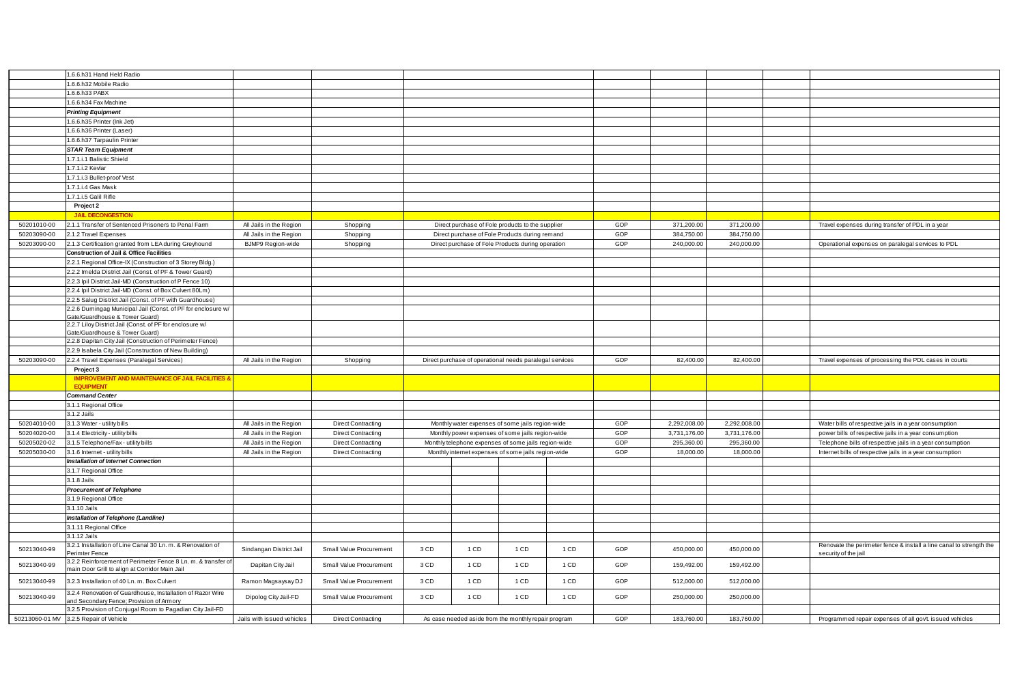|             | 1.6.6.h31 Hand Held Radio                                     |                            |                           |      |        |                                                         |      |     |              |              |                                                             |
|-------------|---------------------------------------------------------------|----------------------------|---------------------------|------|--------|---------------------------------------------------------|------|-----|--------------|--------------|-------------------------------------------------------------|
|             | 1.6.6.h32 Mobile Radio                                        |                            |                           |      |        |                                                         |      |     |              |              |                                                             |
|             | 1.6.6.h33 PABX                                                |                            |                           |      |        |                                                         |      |     |              |              |                                                             |
|             | 1.6.6.h34 Fax Machine                                         |                            |                           |      |        |                                                         |      |     |              |              |                                                             |
|             | <b>Printing Equipment</b>                                     |                            |                           |      |        |                                                         |      |     |              |              |                                                             |
|             | 1.6.6.h35 Printer (lnk Jet)                                   |                            |                           |      |        |                                                         |      |     |              |              |                                                             |
|             | 1.6.6.h36 Printer (Laser)                                     |                            |                           |      |        |                                                         |      |     |              |              |                                                             |
|             | 1.6.6.h37 Tarpaulin Printer                                   |                            |                           |      |        |                                                         |      |     |              |              |                                                             |
|             | <b>STAR Team Equipment</b>                                    |                            |                           |      |        |                                                         |      |     |              |              |                                                             |
|             | 1.7.1.i.1 Balistic Shield                                     |                            |                           |      |        |                                                         |      |     |              |              |                                                             |
|             | 1.7.1.i.2 Kevlar                                              |                            |                           |      |        |                                                         |      |     |              |              |                                                             |
|             | 1.7.1.i.3 Bullet-proof Vest                                   |                            |                           |      |        |                                                         |      |     |              |              |                                                             |
|             | 1.7.1.i.4 Gas Mask                                            |                            |                           |      |        |                                                         |      |     |              |              |                                                             |
|             | 1.7.1.i.5 Galil Rifle                                         |                            |                           |      |        |                                                         |      |     |              |              |                                                             |
|             | Project 2                                                     |                            |                           |      |        |                                                         |      |     |              |              |                                                             |
|             |                                                               |                            |                           |      |        |                                                         |      |     |              |              |                                                             |
|             | <b>JAIL DECONGESTION</b>                                      |                            |                           |      |        |                                                         |      |     |              |              |                                                             |
| 50201010-00 | 2.1.1 Transfer of Sentenced Prisoners to Penal Farm           | All Jails in the Region    | Shopping                  |      |        | Direct purchase of Fole products to the supplier        |      | GOP | 371,200.00   | 371,200.00   | Travel expenses during transfer of PDL in a year            |
| 50203090-00 | 2.1.2 Travel Expenses                                         | All Jails in the Region    | Shopping                  |      |        | Direct purchase of Fole Products during remand          |      | GOP | 384,750.00   | 384,750.00   |                                                             |
| 50203090-00 | 2.1.3 Certification granted from LEA during Greyhound         | <b>BJMP9 Region-wide</b>   | Shopping                  |      |        | Direct purchase of Fole Products during operation       |      | GOP | 240,000.00   | 240,000.00   | Operational expenses on paralegal services to PDL           |
|             | Construction of Jail & Office Facilities                      |                            |                           |      |        |                                                         |      |     |              |              |                                                             |
|             | 2.2.1 Regional Office-IX (Construction of 3 Storey Bldg.)     |                            |                           |      |        |                                                         |      |     |              |              |                                                             |
|             | 2.2.2 Imelda District Jail (Const. of PF & Tower Guard)       |                            |                           |      |        |                                                         |      |     |              |              |                                                             |
|             | 2.2.3 Ipil District Jail-MD (Construction of P Fence 10)      |                            |                           |      |        |                                                         |      |     |              |              |                                                             |
|             | 2.2.4 Ipil District Jail-MD (Const. of Box Culvert 80Lm)      |                            |                           |      |        |                                                         |      |     |              |              |                                                             |
|             | 2.2.5 Salug District Jail (Const. of PF with Guardhouse)      |                            |                           |      |        |                                                         |      |     |              |              |                                                             |
|             | 2.2.6 Dumingag Municipal Jail (Const. of PF for enclosure w/  |                            |                           |      |        |                                                         |      |     |              |              |                                                             |
|             | Gate/Guardhouse & Tower Guard)                                |                            |                           |      |        |                                                         |      |     |              |              |                                                             |
|             | 2.2.7 Liloy District Jail (Const. of PF for enclosure w/      |                            |                           |      |        |                                                         |      |     |              |              |                                                             |
|             | Gate/Guardhouse & Tower Guard)                                |                            |                           |      |        |                                                         |      |     |              |              |                                                             |
|             | 2.2.8 Dapitan City Jail (Construction of Perimeter Fence)     |                            |                           |      |        |                                                         |      |     |              |              |                                                             |
|             | 2.2.9 Isabela City Jail (Construction of New Building)        |                            |                           |      |        |                                                         |      |     |              |              |                                                             |
| 50203090-00 | 2.2.4 Travel Expenses (Paralegal Services)                    | All Jails in the Region    | Shopping                  |      |        | Direct purchase of operational needs paralegal services |      | GOP | 82,400.00    | 82,400.00    | Travel expenses of processing the PDL cases in courts       |
|             | Project 3                                                     |                            |                           |      |        |                                                         |      |     |              |              |                                                             |
|             | <b>IMPROVEMENT AND MAINTENANCE OF JAIL FACILITIES &amp;</b>   |                            |                           |      |        |                                                         |      |     |              |              |                                                             |
|             | <b>EQUIPMENT</b>                                              |                            |                           |      |        |                                                         |      |     |              |              |                                                             |
|             | <b>Command Center</b>                                         |                            |                           |      |        |                                                         |      |     |              |              |                                                             |
|             | 3.1.1 Regional Office                                         |                            |                           |      |        |                                                         |      |     |              |              |                                                             |
|             | 3.1.2 Jails                                                   |                            |                           |      |        |                                                         |      |     |              |              |                                                             |
| 50204010-00 | 3.1.3 Water - utility bills                                   | All Jails in the Region    | <b>Direct Contracting</b> |      |        | Monthly water expenses of some jails region-wide        |      | GOP | 2,292,008.00 | 2,292,008.00 | Water bills of respective jails in a year consumption       |
| 50204020-00 | 3.1.4 Electricity - utility bills                             | All Jails in the Region    | <b>Direct Contracting</b> |      |        | Monthly power expenses of some jails region-wide        |      | GOP | 3,731,176.00 | 3,731,176.00 | power bills of respective jails in a year consumption       |
| 50205020-02 | 3.1.5 Telephone/Fax - utility bills                           | All Jails in the Region    | <b>Direct Contracting</b> |      |        | Monthly telephone expenses of some jails region-wide    |      | GOP | 295,360.00   | 295,360.00   | Telephone bills of respective jails in a year consumption   |
| 50205030-00 | 3.1.6 Internet - utility bills                                | All Jails in the Region    | <b>Direct Contracting</b> |      |        | Monthly internet expenses of some jails region-wide     |      | GOP | 18,000.00    | 18,000.00    | Internet bills of respective jails in a year consumption    |
|             | Installation of Internet Connection                           |                            |                           |      |        |                                                         |      |     |              |              |                                                             |
|             | 3.1.7 Regional Office                                         |                            |                           |      |        |                                                         |      |     |              |              |                                                             |
|             | 3.1.8 Jails                                                   |                            |                           |      |        |                                                         |      |     |              |              |                                                             |
|             | <b>Procurement of Telephone</b>                               |                            |                           |      |        |                                                         |      |     |              |              |                                                             |
|             | 3.1.9 Regional Office                                         |                            |                           |      |        |                                                         |      |     |              |              |                                                             |
|             | 3.1.10 Jails                                                  |                            |                           |      |        |                                                         |      |     |              |              |                                                             |
|             | Installation of Telephone (Landline)                          |                            |                           |      |        |                                                         |      |     |              |              |                                                             |
|             | 3.1.11 Regional Office                                        |                            |                           |      |        |                                                         |      |     |              |              |                                                             |
|             | 3.1.12 Jails                                                  |                            |                           |      |        |                                                         |      |     |              |              |                                                             |
|             | 3.2.1 Installation of Line Canal 30 Ln. m. & Renovation of    |                            |                           |      |        |                                                         |      |     |              |              | Renovate the perimeter fence & install a line canal to stre |
| 50213040-99 | Perimter Fence                                                | Sindangan District Jail    | Small Value Procurement   | 3 CD | 1 CD   | 1 CD                                                    | 1 CD | GOP | 450,000.00   | 450,000.00   | security of the jail                                        |
|             | 3.2.2 Reinforcement of Perimeter Fence 8 Ln. m. & transfer of |                            |                           |      |        |                                                         |      |     |              |              |                                                             |
| 50213040-99 | main Door Grill to align at Corridor Main Jail                | Dapitan City Jail          | Small Value Procurement   | 3 CD | $1$ CD | 1 CD                                                    | 1 CD | GOP | 159,492.00   | 159,492.00   |                                                             |
|             |                                                               |                            |                           |      | $1$ CD |                                                         | 1 CD | GOP |              |              |                                                             |
| 50213040-99 | 3.2.3 Installation of 40 Ln. m. Box Culvert                   | Ramon Magsaysay DJ         | Small Value Procurement   | 3 CD |        | 1 CD                                                    |      |     | 512,000.00   | 512,000.00   |                                                             |
| 50213040-99 | 3.2.4 Renovation of Guardhouse, Installation of Razor Wire    | Dipolog City Jail-FD       | Small Value Procurement   | 3 CD | 1 CD   | 1 CD                                                    | 1 CD | GOP | 250,000.00   | 250,000.00   |                                                             |
|             | and Secondary Fence; Provision of Armory                      |                            |                           |      |        |                                                         |      |     |              |              |                                                             |
|             | 3.2.5 Provision of Conjugal Room to Pagadian City Jail-FD     |                            |                           |      |        |                                                         |      |     |              |              |                                                             |
|             | 50213060-01 MV 3.2.5 Repair of Vehicle                        | Jails with issued vehicles | <b>Direct Contracting</b> |      |        | As case needed aside from the monthly repair program    |      | GOP | 183,760.00   | 183,760.00   | Programmed repair expenses of all gov't. issued vehicles    |

| 371,200.00 | 371,200.00   | Travel expenses during transfer of PDL in a year                                            |
|------------|--------------|---------------------------------------------------------------------------------------------|
| 384,750.00 | 384,750.00   |                                                                                             |
| 240,000.00 | 240,000.00   | Operational expenses on paralegal services to PDL                                           |
|            |              |                                                                                             |
|            |              |                                                                                             |
|            |              |                                                                                             |
|            |              |                                                                                             |
|            |              |                                                                                             |
|            |              |                                                                                             |
|            |              |                                                                                             |
|            |              |                                                                                             |
|            |              |                                                                                             |
| 82,400.00  |              | Travel expenses of processing the PDL cases in courts                                       |
|            | 82,400.00    |                                                                                             |
|            |              |                                                                                             |
|            |              |                                                                                             |
|            |              |                                                                                             |
|            |              |                                                                                             |
| 292,008.00 | 2,292,008.00 | Water bills of respective jails in a year consumption                                       |
| 731,176.00 | 3,731,176.00 | power bills of respective jails in a year consumption                                       |
| 295,360.00 | 295,360.00   | Telephone bills of respective jails in a year consumption                                   |
| 18,000.00  | 18,000.00    | Internet bills of respective jails in a year consumption                                    |
|            |              |                                                                                             |
|            |              |                                                                                             |
|            |              |                                                                                             |
|            |              |                                                                                             |
|            |              |                                                                                             |
|            |              |                                                                                             |
|            |              |                                                                                             |
| 450,000.00 | 450,000.00   | Renovate the perimeter fence & install a line canal to strength the<br>security of the jail |
| 159,492.00 | 159,492.00   |                                                                                             |
| 512,000.00 | 512,000.00   |                                                                                             |
| 250,000.00 | 250,000.00   |                                                                                             |
| 183,760.00 | 183,760.00   | Programmed repair expenses of all gov't. issued vehicles                                    |
|            |              |                                                                                             |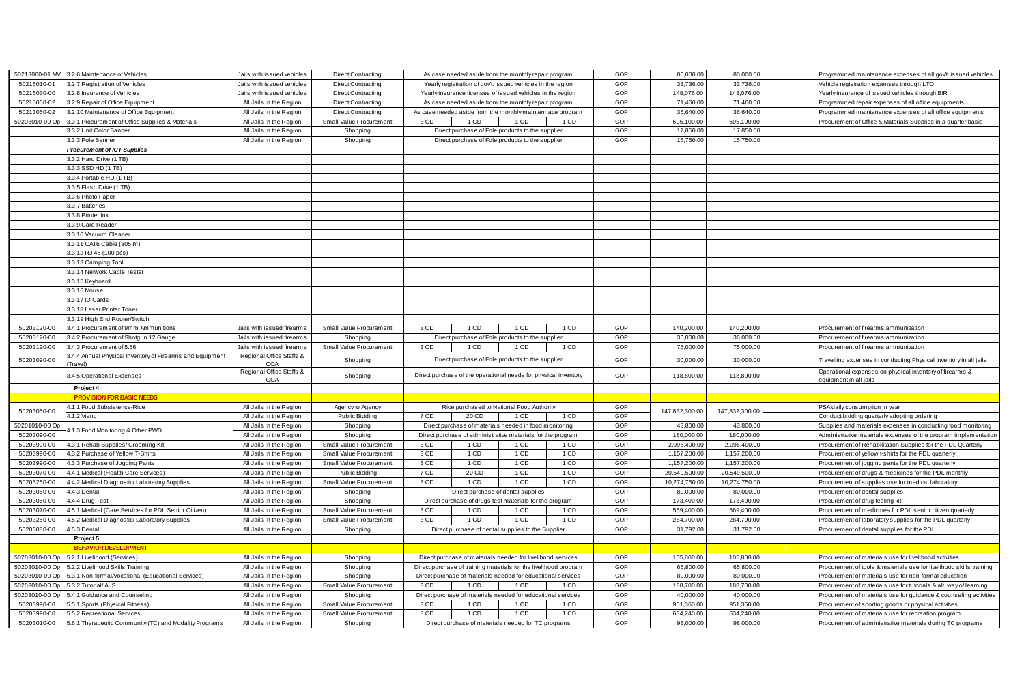| 50213060-01 MV | 3.2.6 Maintenance of Vehicles                                        | Jails with issued vehicles      | <b>Direct Contracting</b>      |      | As case needed aside from the monthly repair program             |                                    |      | GOP        | 80,000.00      | 80,000.00      | Programmed maintenance expenses of all gov't. issued vehicles       |
|----------------|----------------------------------------------------------------------|---------------------------------|--------------------------------|------|------------------------------------------------------------------|------------------------------------|------|------------|----------------|----------------|---------------------------------------------------------------------|
| 50215010-01    | 3.2.7 Registration of Vehicles                                       | Jails with issued vehicles      | <b>Direct Contracting</b>      |      | Yearly registration of gov't. issued vehicles in the region      |                                    |      | GOP        | 33,736.00      | 33,736.00      | Vehicle registration expenses through LTO                           |
| 50215030-00    | 3.2.8 Insurance of Vehicles                                          | Jails with issued vehicles      | <b>Direct Contracting</b>      |      | Yearly insurance licenses of issued vehicles in the region       |                                    |      | GOP        | 148,076.00     | 148,076.00     | Yearly insurance of issued vehicles through BIR                     |
| 50213050-02    | 3.2.9 Repair of Office Equipment                                     | All Jails in the Region         | <b>Direct Contracting</b>      |      | As case needed aside from the monthly repair program             |                                    |      | GOP        | 71,460.00      | 71,460.00      | Programmed repair expenses of all office equipments                 |
| 50213050-02    | 3.2.10 Maintenance of Office Equipment                               | All Jails in the Region         | <b>Direct Contracting</b>      |      | As case needed aside from the monthly maintennace program        |                                    |      | GOP        | 36,640.00      | 36,640.00      | Programmed maintenance expenses of all office equipments            |
| 50203010-00 Op | 3.3.1 Procurement of Office Supplies & Materials                     | All Jails in the Region         | <b>Small Value Procurement</b> | 3 CD | 1 CD                                                             | 1 CD                               | 1 CD | GOP        | 695,100.00     | 695,100.00     | Procurement of Office & Materials Supplies in a quarter basis       |
|                | 3.3.2 Unit Color Banner                                              | All Jails in the Region         | Shopping                       |      | Direct purchase of Fole products to the supplier                 |                                    |      | GOP        | 17,850.00      | 17,850.00      |                                                                     |
|                | 3.3.3 Pole Banner                                                    | All Jails in the Region         | Shopping                       |      | Direct purchase of Fole products to the supplier                 |                                    |      | GOP        | 15,750.00      | 15,750.00      |                                                                     |
|                | <b>Procurement of ICT Supplies</b>                                   |                                 |                                |      |                                                                  |                                    |      |            |                |                |                                                                     |
|                | 3.3.2 Hard Drive (1 TB)                                              |                                 |                                |      |                                                                  |                                    |      |            |                |                |                                                                     |
|                | 3.3.3 SSD HD (1 TB)                                                  |                                 |                                |      |                                                                  |                                    |      |            |                |                |                                                                     |
|                | 3.3.4 Portable HD (1 TB)                                             |                                 |                                |      |                                                                  |                                    |      |            |                |                |                                                                     |
|                |                                                                      |                                 |                                |      |                                                                  |                                    |      |            |                |                |                                                                     |
|                | 3.3.5 Flash Drive (1 TB)                                             |                                 |                                |      |                                                                  |                                    |      |            |                |                |                                                                     |
|                | 3.3.6 Photo Paper<br>3.3.7 Batteries                                 |                                 |                                |      |                                                                  |                                    |      |            |                |                |                                                                     |
|                |                                                                      |                                 |                                |      |                                                                  |                                    |      |            |                |                |                                                                     |
|                | 3.3.8 Printer Ink                                                    |                                 |                                |      |                                                                  |                                    |      |            |                |                |                                                                     |
|                | 3.3.9 Card Reader                                                    |                                 |                                |      |                                                                  |                                    |      |            |                |                |                                                                     |
|                | 3.3.10 Vacuum Cleaner                                                |                                 |                                |      |                                                                  |                                    |      |            |                |                |                                                                     |
|                | 3.3.11 CAT6 Cable (305 m)                                            |                                 |                                |      |                                                                  |                                    |      |            |                |                |                                                                     |
|                | 3.3.12 RJ 45 (100 pcs)                                               |                                 |                                |      |                                                                  |                                    |      |            |                |                |                                                                     |
|                | 3.3.13 Crimping Tool                                                 |                                 |                                |      |                                                                  |                                    |      |            |                |                |                                                                     |
|                | 3.3.14 Network Cable Tester                                          |                                 |                                |      |                                                                  |                                    |      |            |                |                |                                                                     |
|                | 3.3.15 Keyboard                                                      |                                 |                                |      |                                                                  |                                    |      |            |                |                |                                                                     |
|                | 3.3.16 Mouse                                                         |                                 |                                |      |                                                                  |                                    |      |            |                |                |                                                                     |
|                | 3.3.17 ID Cards                                                      |                                 |                                |      |                                                                  |                                    |      |            |                |                |                                                                     |
|                | 3.3.18 Laser Printer Toner                                           |                                 |                                |      |                                                                  |                                    |      |            |                |                |                                                                     |
|                | 3.3.19 High End Router/Switch                                        |                                 |                                |      |                                                                  |                                    |      |            |                |                |                                                                     |
| 50203120-00    | 3.4.1 Procurement of 9mm Ammunitions                                 | Jails with issued firearms      | Small Value Procurement        | 3 CD | 1 CD                                                             | 1 CD                               | 1 CD | GOP        | 140,200.00     | 140,200.00     | Procurement of firearms ammunization                                |
| 50203120-00    | 3.4.2 Procurement of Shotgun 12 Gauge                                | Jails with issued firearms      | Shopping                       |      | Direct purchase of Fole products to the supplier                 |                                    |      | GOP        | 36,000.00      | 36,000.00      | Procurement of firearms ammunization                                |
| 50203120-00    | 3.4.3 Procurement of 5.56                                            | Jails with issued firearms      | Small Value Procurement        | 3 CD | $1$ CD                                                           | 1 CD                               | 1 CD | GOP        | 75,000.00      | 75,000.00      | Procurement of firearms ammunization                                |
| 50203090-00    | 3.4.4 Annual Physical Inventory of Firearms and Equipment<br>Travel) | Regional Office Staffs &<br>COA | Shopping                       |      | Direct purchase of Fole products to the supplier                 |                                    |      | GOP        | 30,000.00      | 30,000.00      | Travelling expenses in conducting Physical Inventory in all jails   |
|                |                                                                      | Regional Office Staffs &        |                                |      |                                                                  |                                    |      |            |                |                | Operational expenses on physical inventory of firearms &            |
|                | 3.4.5 Operational Expenses                                           | COA                             | Shopping                       |      | Direct purchase of the operational needs for physical inventory  |                                    |      | GOP        | 118,800.00     | 118,800.00     | equipment in all jails                                              |
|                | Project 4                                                            |                                 |                                |      |                                                                  |                                    |      |            |                |                |                                                                     |
|                | <b>PROVISION FOR BASIC NEEDS</b>                                     |                                 |                                |      |                                                                  |                                    |      |            |                |                |                                                                     |
| 50203050-00    | 1.1.1 Food Subsistence-Rice                                          | All Jails in the Region         | Agency to Agency               |      | Rice purchased to National Food Authority                        |                                    |      | <b>GOP</b> | 147,832,300.00 | 147,832,300.00 | PSA daily consumption in year                                       |
|                | 4.1.2 Viand                                                          | All Jails in the Region         | <b>Public Bidding</b>          | 7 CD | 20 CD                                                            | 1 CD                               | 1 CD | GOP        |                |                | Conduct bidding quarterly adopting ordering                         |
| 50201010-00 Op | 1.1.3 Food Monitoring & Other PWD                                    | All Jails in the Region         | Shopping                       |      | Direct purchase of materials needed in food monitoring           |                                    |      | GOP        | 43,800.00      | 43,800.00      | Supplies and materials expenses in conducting food monitoring       |
| 50203090-00    |                                                                      | All Jails in the Region         | Shopping                       |      | Direct purchase of administrative materials for the program      |                                    |      | GOP        | 180,000.00     | 180,000.00     | Administrative materials expenses of the program implementation     |
| 50203990-00    | 4.3.1 Rehab Supplies/ Grooming Kit                                   | All Jails in the Region         | Small Value Procurement        | 3 CD | 1 CD                                                             | 1 CD                               | 1 CD | GOP        | 2,096,400.00   | 2,096,400.00   | Procurement of Rehabilitation Supplies for the PDL Quarterly        |
| 50203990-00    | 4.3.2 Purchase of Yellow T-Shirts                                    | All Jails in the Region         | <b>Small Value Procurement</b> | 3 CD | 1 CD                                                             | $1$ CD                             | 1 CD | GOP        | 1,157,200.00   | 1,157,200.00   | Procurement of yellow t-shirts for the PDL quarterly                |
| 50203990-00    | 4.3.3 Purchase of Jogging Pants                                      | All Jails in the Region         | Small Value Procurement        | 3 CD | 1 CD                                                             | 1 CD                               | 1 CD | GOP        | 1,157,200.00   | 1,157,200.00   | Procurement of jogging pants for the PDL quarterly                  |
| 50203070-00    | 4.4.1 Medical (Health Care Services)                                 | All Jails in the Region         | <b>Public Bidding</b>          | 7 CD | 20 CD                                                            | 1 CD                               | 1 CD | GOP        | 20,549,500.00  | 20,549,500.00  | Procurement of drugs & medicines for the PDL monthly                |
| 50203250-00    | 4.4.2 Medical Diagnostic/Laboratory Supplies                         | All Jails in the Region         | Small Value Procurement        | 3 CD | 1 CD                                                             | 1 CD                               | 1 CD | GOP        | 10,274,750.00  | 10,274,750.00  | Procurement of supplies use for medical laboratory                  |
| 50203080-00    | 4.4.3 Dental                                                         | All Jails in the Region         | Shopping                       |      |                                                                  | Direct purchase of dental supplies |      | GOP        | 80,000.00      | 80,000.00      | Procurement of dental supplies                                      |
| 50203080-00    | 4.4.4 Drug Test                                                      | All Jails in the Region         | Shopping                       |      | Direct purchase of drugs test materials for the program          |                                    |      | GOP        | 173,400.00     | 173,400.00     | Procurement of drug testing kit                                     |
| 50203070-00    | 4.5.1 Medical (Care Services for PDL Senior Citizen)                 | All Jails in the Region         | Small Value Procurement        | 3 CD | 1 CD                                                             | 1 CD                               | 1 CD | GOP        | 569,400.00     | 569,400.00     | Procurement of medicines for PDL senior citizen quarterly           |
| 50203250-00    | 4.5.2 Medical Diagnostic/ Laboratory Supplies                        | All Jails in the Region         | Small Value Procurement        | 3 CD | 1 CD                                                             | 1 CD                               | 1 CD | GOP        | 284,700.00     | 284,700.00     | Procurement of laboratory supplies for the PDL quarterly            |
| 50203080-00    | 4.5.3 Dental                                                         | All Jails in the Region         | Shopping                       |      | Direct purchase of dental supplies to the Supplier               |                                    |      | GOP        | 31,792.00      | 31,792.00      | Procurement of dental supplies for the PDL                          |
|                | Project 5                                                            |                                 |                                |      |                                                                  |                                    |      |            |                |                |                                                                     |
|                | <b>BEHAVIOR DEVELOPMENT</b>                                          |                                 |                                |      |                                                                  |                                    |      |            |                |                |                                                                     |
| 50203010-00 Op | 5.2.1 Livelihood (Services)                                          | All Jails in the Region         | Shopping                       |      | Direct purchase of materials needed for livelihood services      |                                    |      | GOP        | 105,800.00     | 105,800.00     | Procurement of materials use for livelihood activities              |
| 50203010-00 Op | 5.2.2 Livelihood Skills Training                                     | All Jails in the Region         | Shopping                       |      | Direct purchase of training materials for the livelihood program |                                    |      | GOP        | 65,800.00      | 65,800.00      | Procurement of tools & materials use for livelihood skills training |
| 50203010-00 Op | 5.3.1 Non-formal/Vocational (Educational Services)                   | All Jails in the Region         | Shopping                       |      | Direct purchase of materials needed for educational services     |                                    |      | GOP        | 80,000.00      | 80,000.00      | Procurement of materials use for non-formal education               |
| 50203010-00 Op | 5.3.2 Tutorial/ ALS                                                  | All Jails in the Region         | Small Value Procurement        | 3 CD | 1 CD                                                             | 1 CD                               | 1 CD | GOP        | 188,700.00     | 188,700.00     | Procurement of materials use for tutorials & alt. way of learning   |
| 50203010-00 Op | 5.4.1 Guidance and Counseling                                        | All Jails in the Region         | Shopping                       |      | Direct purchase of materials needed for educational services     |                                    |      | GOP        | 40,000.00      | 40,000.00      | Procurement of materials use for guidance & counseling activities   |
| 50203990-00    | 5.5.1 Sports (Physical Fitness)                                      | All Jails in the Region         | Small Value Procurement        | 3 CD | 1 CD                                                             | 1 CD                               | 1 CD | GOP        | 951,360.00     | 951,360.00     | Procurement of sporting goods or physical activities                |
| 50203990-00    | 5.5.2 Recreational Services                                          | All Jails in the Region         | Small Value Procurement        | 3 CD | 1 CD                                                             | 1 CD                               | 1 CD | GOP        | 634,240.00     | 634,240.00     | Procurement of materials use for recreation program                 |
| 50203010-00    | 5.6.1 Therapeutic Community (TC) and Modality Programs               | All Jails in the Region         | Shopping                       |      | Direct purchase of materials needed for TC programs              |                                    |      | GOP        | 98,000.00      | 98,000.00      | Procurement of administrative materials during TC programs          |
|                |                                                                      |                                 |                                |      |                                                                  |                                    |      |            |                |                |                                                                     |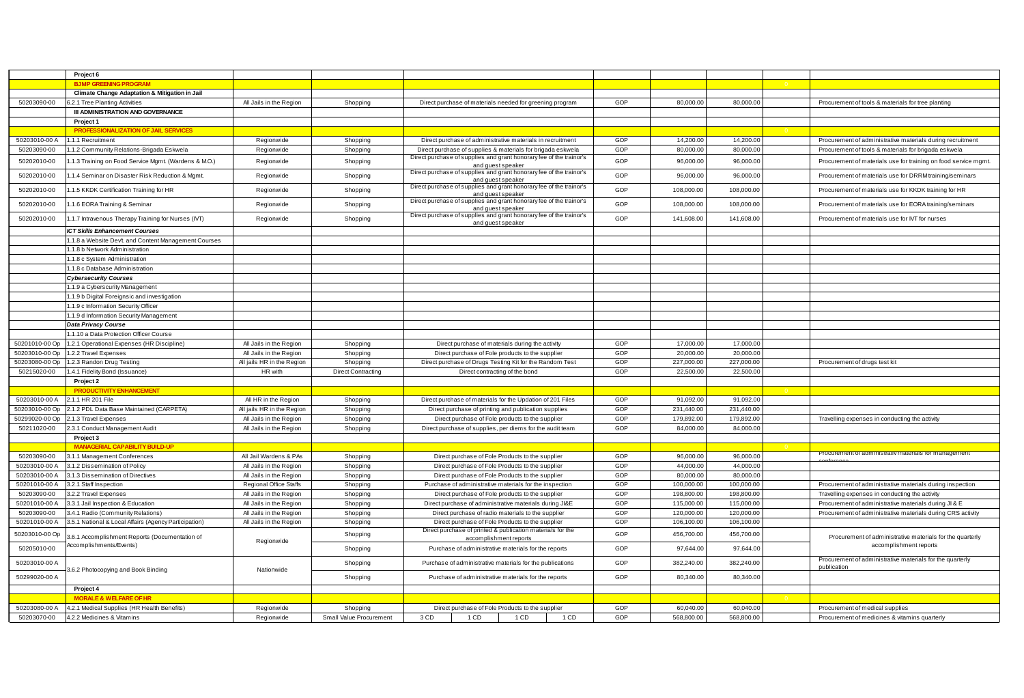|                | Project 6                                                 |                               |                           |                                                                                                                                    |     |            |                |                                                                 |
|----------------|-----------------------------------------------------------|-------------------------------|---------------------------|------------------------------------------------------------------------------------------------------------------------------------|-----|------------|----------------|-----------------------------------------------------------------|
|                | <b>BJMP GREENING PROGRAM</b>                              |                               |                           |                                                                                                                                    |     |            |                |                                                                 |
|                | <b>Climate Change Adaptation &amp; Mitigation in Jail</b> |                               |                           |                                                                                                                                    |     |            |                |                                                                 |
| 50203090-00    | 6.2.1 Tree Planting Activities                            | All Jails in the Region       | Shopping                  | Direct purchase of materials needed for greening program                                                                           | GOP | 80,000.00  | 80,000.00      | Procurement of tools & materials for tree planting              |
|                | <b>III ADMINISTRATION AND GOVERNANCE</b>                  |                               |                           |                                                                                                                                    |     |            |                |                                                                 |
|                |                                                           |                               |                           |                                                                                                                                    |     |            |                |                                                                 |
|                | Project 1                                                 |                               |                           |                                                                                                                                    |     |            |                |                                                                 |
|                | PROFESSIONALIZATION OF JAIL SERVICES                      |                               |                           |                                                                                                                                    |     |            | $\overline{0}$ |                                                                 |
| 50203010-00 A  | 1.1.1 Recruitment                                         | Regionwide                    | Shopping                  | Direct purchase of administrative materials in recruitment                                                                         | GOP | 14,200.00  | 14,200.00      | Procurement of administrative materials during recruitment      |
| 50203090-00    | .1.2 Community Relations-Brigada Eskwela                  | Regionwide                    | Shopping                  | Direct purchase of supplies & materials for brigada eskwela<br>Direct purchase of supplies and grant honorary fee of the trainor's | GOP | 80,000.00  | 80,000.00      | Procurement of tools & materials for brigada eskwela            |
| 50202010-00    | .1.3 Training on Food Service Mgmt. (Wardens & M.O.)      | Regionwide                    | Shopping                  | and guest speaker                                                                                                                  | GOP | 96,000.00  | 96,000.00      | Procurement of materials use for training on food service mgmt. |
| 50202010-00    | .1.4 Seminar on Disaster Risk Reduction & Mgmt.           | Regionwide                    | Shopping                  | Direct purchase of supplies and grant honorary fee of the trainor's                                                                | GOP | 96,000.00  | 96,000.00      | Procurement of materials use for DRRM training/seminars         |
|                |                                                           |                               |                           | and quest speaker<br>Direct purchase of supplies and grant honorary fee of the trainor's                                           |     |            |                |                                                                 |
| 50202010-00    | .1.5 KKDK Certification Training for HR                   | Regionwide                    | Shopping                  | and quest speaker                                                                                                                  | GOP | 108,000.00 | 108,000.00     | Procurement of materials use for KKDK training for HR           |
| 50202010-00    | .1.6 EORA Training & Seminar                              | Regionwide                    | Shopping                  | Direct purchase of supplies and grant honorary fee of the trainor's                                                                | GOP | 108,000.00 | 108,000.00     | Procurement of materials use for EORA training/seminars         |
|                |                                                           |                               |                           | and guest speaker<br>Direct purchase of supplies and grant honorary fee of the trainor's                                           |     |            |                |                                                                 |
| 50202010-00    | .1.7 Intravenous Therapy Training for Nurses (IVT)        | Regionwide                    | Shopping                  | and quest speaker                                                                                                                  | GOP | 141,608.00 | 141,608.00     | Procurement of materials use for IVT for nurses                 |
|                | <b>ICT Skills Enhancement Courses</b>                     |                               |                           |                                                                                                                                    |     |            |                |                                                                 |
|                | 1.1.8 a Website Dev't. and Content Management Courses     |                               |                           |                                                                                                                                    |     |            |                |                                                                 |
|                | 1.1.8 b Network Administration                            |                               |                           |                                                                                                                                    |     |            |                |                                                                 |
|                | 1.1.8 c System Administration                             |                               |                           |                                                                                                                                    |     |            |                |                                                                 |
|                | 1.1.8 c Database Administration                           |                               |                           |                                                                                                                                    |     |            |                |                                                                 |
|                | <b>Cybersecurity Courses</b>                              |                               |                           |                                                                                                                                    |     |            |                |                                                                 |
|                | 1.1.9 a Cyberscurity Management                           |                               |                           |                                                                                                                                    |     |            |                |                                                                 |
|                | 1.1.9 b Digital Foreignsic and investigation              |                               |                           |                                                                                                                                    |     |            |                |                                                                 |
|                | 1.1.9 c Information Security Officer                      |                               |                           |                                                                                                                                    |     |            |                |                                                                 |
|                | 1.1.9 d Information Security Management                   |                               |                           |                                                                                                                                    |     |            |                |                                                                 |
|                | Data Privacy Course                                       |                               |                           |                                                                                                                                    |     |            |                |                                                                 |
|                | 1.1.10 a Data Protection Officer Course                   |                               |                           |                                                                                                                                    |     |            |                |                                                                 |
| 50201010-00 Op | 1.2.1 Operational Expenses (HR Discipline)                | All Jails in the Region       | Shopping                  | Direct purchase of materials during the activity                                                                                   | GOP | 17,000.00  | 17,000.00      |                                                                 |
| 50203010-00 Op | 1.2.2 Travel Expenses                                     | All Jails in the Region       | Shopping                  | Direct purchase of Fole products to the supplier                                                                                   | GOP | 20,000.00  | 20,000.00      |                                                                 |
| 50203080-00 Op | 1.2.3 Randon Drug Testing                                 | All jails HR in the Region    | Shopping                  | Direct purchase of Drugs Testing Kit for the Random Test                                                                           | GOP | 227,000.00 | 227,000.00     | Procurement of drugs test kit                                   |
|                |                                                           |                               | <b>Direct Contracting</b> |                                                                                                                                    | GOP |            |                |                                                                 |
| 50215020-00    | 1.4.1 Fidelity Bond (Issuance)<br>Project 2               | HR with                       |                           | Direct contracting of the bond                                                                                                     |     | 22,500.00  | 22,500.00      |                                                                 |
|                |                                                           |                               |                           |                                                                                                                                    |     |            |                |                                                                 |
|                | <b>PRODUCTIVITY ENHANCEMENT</b>                           |                               |                           |                                                                                                                                    |     |            | $-0$           |                                                                 |
| 50203010-00 A  | 2.1.1 HR 201 File                                         | All HR in the Region          | Shopping                  | Direct purchase of materials for the Updation of 201 Files                                                                         | GOP | 91,092.00  | 91,092.00      |                                                                 |
| 50203010-00 Op | 2.1.2 PDL Data Base Maintained (CARPETA)                  | All jails HR in the Region    | Shopping                  | Direct purchase of printing and publication supplies                                                                               | GOP | 231,440.00 | 231,440.00     |                                                                 |
| 50299020-00 Op | 2.1.3 Travel Expenses                                     | All Jails in the Region       | Shopping                  | Direct purchase of Fole products to the supplier                                                                                   | GOP | 179,892.00 | 179,892.00     | Travelling expenses in conducting the activity                  |
| 50211020-00    | 2.3.1 Conduct Management Audit                            | All Jails in the Region       | Shopping                  | Direct purchase of supplies, per diems for the audit team                                                                          | GOP | 84,000.00  | 84,000.00      |                                                                 |
|                | Project 3                                                 |                               |                           |                                                                                                                                    |     |            |                |                                                                 |
|                | <b>MANAGERIAL CAPABILITY BUILD-UP</b>                     |                               |                           |                                                                                                                                    |     |            | $\overline{0}$ | Procurement of ad                                               |
| 50203090-00    | 3.1.1 Management Conferences                              | All Jail Wardens & PAs        | Shopping                  | Direct purchase of Fole Products to the supplier                                                                                   | GOP | 96,000.00  | 96,000.00      |                                                                 |
| 50203010-00 A  | 3.1.2 Dissemination of Policy                             | All Jails in the Region       | Shopping                  | Direct purchase of Fole Products to the supplier                                                                                   | GOP | 44,000.00  | 44,000.00      |                                                                 |
| 50203010-00 A  | 3.1.3 Dissemination of Directives                         | All Jails in the Region       | Shopping                  | Direct purchase of Fole Products to the supplier                                                                                   | GOP | 80,000.00  | 80,000.00      |                                                                 |
| 50201010-00 A  | 3.2.1 Staff Inspection                                    | <b>Regional Office Staffs</b> | Shopping                  | Purchase of administrative materials for the inspection                                                                            | GOP | 100,000.00 | 100,000.00     | Procurement of administrative materials during inspection       |
| 50203090-00    | 3.2.2 Travel Expenses                                     | All Jails in the Region       | Shopping                  | Direct purchase of Fole products to the supplier                                                                                   | GOP | 198,800.00 | 198,800.00     | Travelling expenses in conducting the activity                  |
| 50201010-00 A  | 3.3.1 Jail Inspection & Education                         | All Jails in the Region       | Shopping                  | Direct purchase of administrative materials during JI&E                                                                            | GOP | 115,000.00 | 115,000.00     | Procurement of administrative materials during JI & E           |
| 50203090-00    | 3.4.1 Radio (Community Relations)                         | All Jails in the Region       | Shopping                  | Direct purchase of radio materials to the supplier                                                                                 | GOP | 120,000.00 | 120,000.00     | Procurement of administrative materials during CRS activity     |
| 50201010-00 A  | 3.5.1 National & Local Affairs (Agency Participation)     | All Jails in the Region       | Shopping                  | Direct purchase of Fole Products to the supplier                                                                                   | GOP | 106,100.00 | 106,100.00     |                                                                 |
| 50203010-00 Op | 3.6.1 Accomplishment Reports (Documentation of            |                               | Shopping                  | Direct purchase of printed & publication materials for the<br>accomplishment reports                                               | GOP | 456,700.00 | 456,700.00     | Procurement of administrative materials for the quarterly       |
|                | Accomplishments/Events)                                   | Regionwide                    |                           |                                                                                                                                    |     |            |                | accomplishment reports                                          |
| 50205010-00    |                                                           |                               | Shopping                  | Purchase of administrative materials for the reports                                                                               | GOP | 97,644.00  | 97,644.00      |                                                                 |
| 50203010-00 A  |                                                           |                               | Shopping                  | Purchase of administrative materials for the publications                                                                          | GOP | 382,240.00 | 382,240.00     | Procurement of administrative materials for the quarterly       |
|                | 3.6.2 Photocopying and Book Binding                       | Nationwide                    |                           |                                                                                                                                    |     |            |                | publication                                                     |
| 50299020-00 A  |                                                           |                               | Shopping                  | Purchase of administrative materials for the reports                                                                               | GOP | 80,340.00  | 80,340.00      |                                                                 |
|                | Project 4                                                 |                               |                           |                                                                                                                                    |     |            |                |                                                                 |
|                | <b>MORALE &amp; WELFARE OF HR</b>                         |                               |                           |                                                                                                                                    |     |            |                |                                                                 |
| 50203080-00 A  | 4.2.1 Medical Supplies (HR Health Benefits)               | Regionwide                    | Shopping                  | Direct purchase of Fole Products to the supplier                                                                                   | GOP | 60,040.00  | 60,040.00      | Procurement of medical supplies                                 |
| 50203070-00    | 4.2.2 Medicines & Vitamins                                | Regionwide                    | Small Value Procurement   | 3 CD<br>1 CD<br>1 CD<br>1 CD                                                                                                       | GOP | 568,800.00 | 568,800.00     | Procurement of medicines & vitamins quarterly                   |